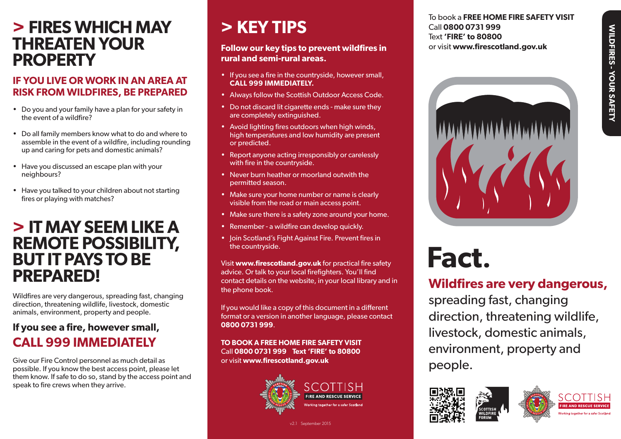## **> FIRES WHICH MAY > KEY TIPS THREATEN YOUR PROPERTY**

#### **IF YOU LIVE OR WORK IN AN AREA AT RISK FROM WILDFIRES, BE PREPARED**

- • Do you and your family have a plan for your safety in the event of a wildfire?
- • Do all family members know what to do and where to assemble in the event of a wildfire, including rounding up and caring for pets and domestic animals?
- Have you discussed an escape plan with your neighbours?
- Have you talked to your children about not starting fires or playing with matches?

### **> IT MAY SEEM LIKE A REMOTE POSSIBILITY, BUT IT PAYS TO BE PREPARED!**

Wildfires are very dangerous, spreading fast, changing direction, threatening wildlife, livestock, domestic animals, environment, property and people.

#### **If you see a fire, however small, CALL 999 IMMEDIATELY**

Give our Fire Control personnel as much detail as possible. If you know the best access point, please let them know. If safe to do so, stand by the access point and speak to fire crews when they arrive.

#### **Follow our key tips to prevent wildfires in rural and semi-rural areas.**

- If you see a fire in the countryside, however small, **CALL 999 IMMEDIATELY.**
- Always follow the Scottish Outdoor Access Code.
- Do not discard lit cigarette ends make sure they are completely extinguished.
- Avoid lighting fires outdoors when high winds, high temperatures and low humidity are present or predicted.
- Report anyone acting irresponsibly or carelessly with fire in the countryside.
- • Never burn heather or moorland outwith the permitted season.
- Make sure your home number or name is clearly visible from the road or main access point.
- Make sure there is a safety zone around your home.
- Remember a wildfire can develop quickly.
- Join Scotland's Fight Against Fire. Prevent fires in the countryside.

Visit **www.firescotland.gov.uk** for practical fire safety advice. Or talk to your local firefighters. You'll find contact details on the website, in your local library and in the phone book.

If you would like a copy of this document in a different format or a version in another language, please contact **0800 0731 999**.

**TO BOOK A FREE HOME FIRE SAFETY VISIT** Call **0800 0731 999 Text 'FIRE' to 80800** or visit **www.firescotland.gov.uk**



v2.1 September 2015

To book a **FREE HOME FIRE SAFETY VISIT** Call **0800 0731 999** Text **'FIRE' to 80800**  or visit **www.firescotland.gov.uk**



**Fact.**

### **Wildfires are very dangerous,**

spreading fast, changing direction, threatening wildlife, livestock, domestic animals, environment, property and people.